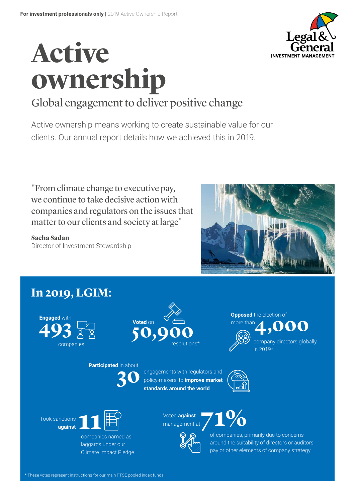

# **Active ownership**

## Global engagement to deliver positive change

Active ownership means working to create sustainable value for our clients. Our annual report details how we achieved this in 2019.

"From climate change to executive pay, we continue to take decisive action with companies and regulators on the issues that matter to our clients and society at large"

**Sacha Sadan** Director of Investment Stewardship



## **In 2019, LGIM:**

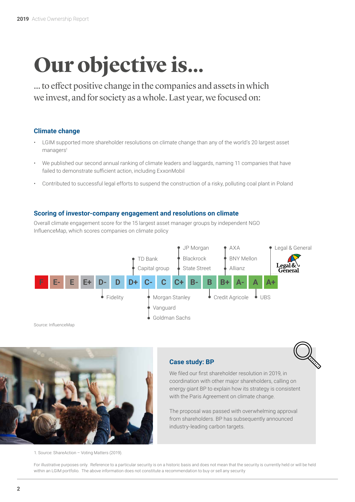## **Our objective is...**

... to effect positive change in the companies and assets in which we invest, and for society as a whole. Last year, we focused on:

#### **Climate change**

- LGIM supported more shareholder resolutions on climate change than any of the world's 20 largest asset managers<sup>1</sup>
- We published our second annual ranking of climate leaders and laggards, naming 11 companies that have failed to demonstrate sufficient action, including ExxonMobil
- Contributed to successful legal efforts to suspend the construction of a risky, polluting coal plant in Poland

#### **Scoring of investor-company engagement and resolutions on climate**

Overall climate engagement score for the 15 largest asset manager groups by independent NGO InfluenceMap, which scores companies on climate policy





1. Source: ShareAction – Voting Matters (2019).

#### **Case study: BP**



We filed our first shareholder resolution in 2019, in coordination with other major shareholders, calling on energy giant BP to explain how its strategy is consistent with the Paris Agreement on climate change.

The proposal was passed with overwhelming approval from shareholders. BP has subsequently announced industry-leading carbon targets.

For illustrative purposes only. Reference to a particular security is on a historic basis and does not mean that the security is currently held or will be held within an LGIM portfolio. The above information does not constitute a recommendation to buy or sell any security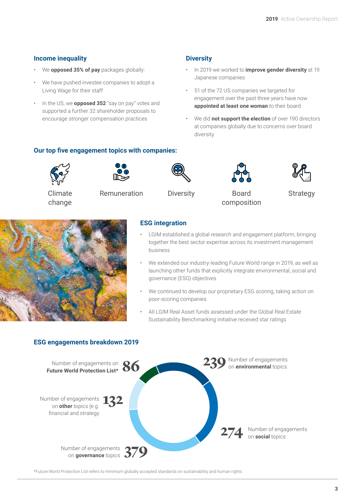#### **Income inequality**

- We **opposed 35% of pay** packages globally:
- We have pushed investee companies to adopt a Living Wage for their staff
- In the US, we **opposed 352** "say on pay" votes and supported a further 32 shareholder proposals to encourage stronger compensation practices

#### **Diversity**

- In 2019 we worked to **improve gender diversity** at 19 Japanese companies
- 51 of the 72 US companies we targeted for engagement over the past three years have now **appointed at least one woman** to their board
- We did **not support the election** of over 190 directors at companies globally due to concerns over board diversity

#### **Our top five engagement topics with companies:**





Climate change

Remuneration Diversity Board





composition



**Strategy** 



#### **ESG integration**

- LGIM established a global research and engagement platform, bringing together the best sector expertise across its investment management business
- We extended our industry-leading Future World range in 2019, as well as launching other funds that explicitly integrate environmental, social and governance (ESG) objectives
- We continued to develop our proprietary ESG scoring, taking action on poor-scoring companies
- All LGIM Real Asset funds assessed under the Global Real Estate Sustainability Benchmarking initiative received star ratings

#### **ESG engagements breakdown 2019**



\*Future World Protection List refers to minimum globally accepted standards on sustainability and human rights